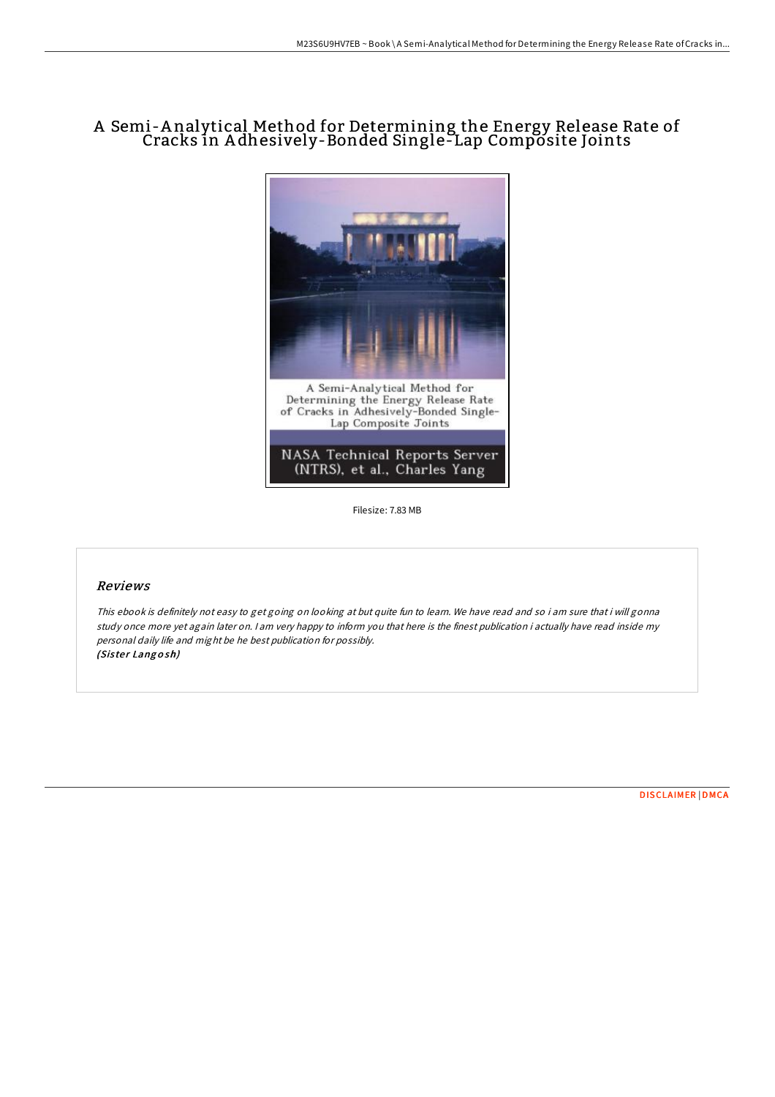# A Semi-A nalytical Method for Determining the Energy Release Rate of Cracks in A dhesively-Bonded Single-Lap Composite Joints



Filesize: 7.83 MB

### Reviews

This ebook is definitely not easy to get going on looking at but quite fun to learn. We have read and so i am sure that i will gonna study once more yet again later on. <sup>I</sup> am very happy to inform you that here is the finest publication i actually have read inside my personal daily life and might be he best publication for possibly. (Sister Langosh)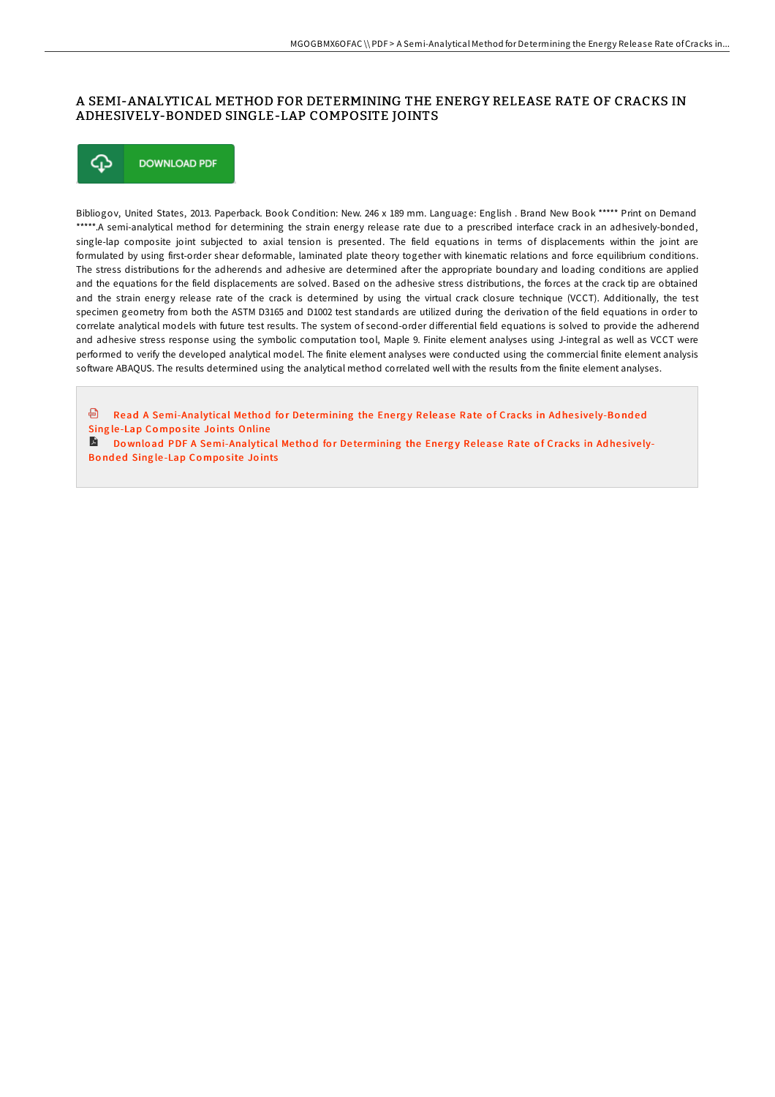### A SEMI-ANALYTICAL METHOD FOR DETERMINING THE ENERGY RELEASE RATE OF CRACKS IN ADHESIVELY-BONDED SINGLE-LAP COMPOSITE JOINTS



Bibliogov, United States, 2013. Paperback. Book Condition: New. 246 x 189 mm. Language: English . Brand New Book \*\*\*\*\* Print on Demand \*\*\*\*\*.A semi-analytical method for determining the strain energy release rate due to a prescribed interface crack in an adhesively-bonded, single-lap composite joint subjected to axial tension is presented. The field equations in terms of displacements within the joint are formulated by using first-order shear deformable, laminated plate theory together with kinematic relations and force equilibrium conditions. The stress distributions for the adherends and adhesive are determined after the appropriate boundary and loading conditions are applied and the equations for the field displacements are solved. Based on the adhesive stress distributions, the forces at the crack tip are obtained and the strain energy release rate of the crack is determined by using the virtual crack closure technique (VCCT). Additionally, the test specimen geometry from both the ASTM D3165 and D1002 test standards are utilized during the derivation of the field equations in order to correlate analytical models with future test results. The system of second-order differential field equations is solved to provide the adherend and adhesive stress response using the symbolic computation tool, Maple 9. Finite element analyses using J-integral as well as VCCT were performed to verify the developed analytical model. The finite element analyses were conducted using the commercial finite element analysis software ABAQUS. The results determined using the analytical method correlated well with the results from the finite element analyses.

<sup>回</sup> Read A [Semi-Analytical](http://almighty24.tech/a-semi-analytical-method-for-determining-the-ene.html) Method for Determining the Energy Release Rate of Cracks in Adhesively-Bonded Sing le-Lap Composite Joints Online

Do wnload PDF A [Semi-Analytical](http://almighty24.tech/a-semi-analytical-method-for-determining-the-ene.html) Method for Determining the Energy Release Rate of Cracks in Adhesively-Bonded Single-Lap Composite Joints